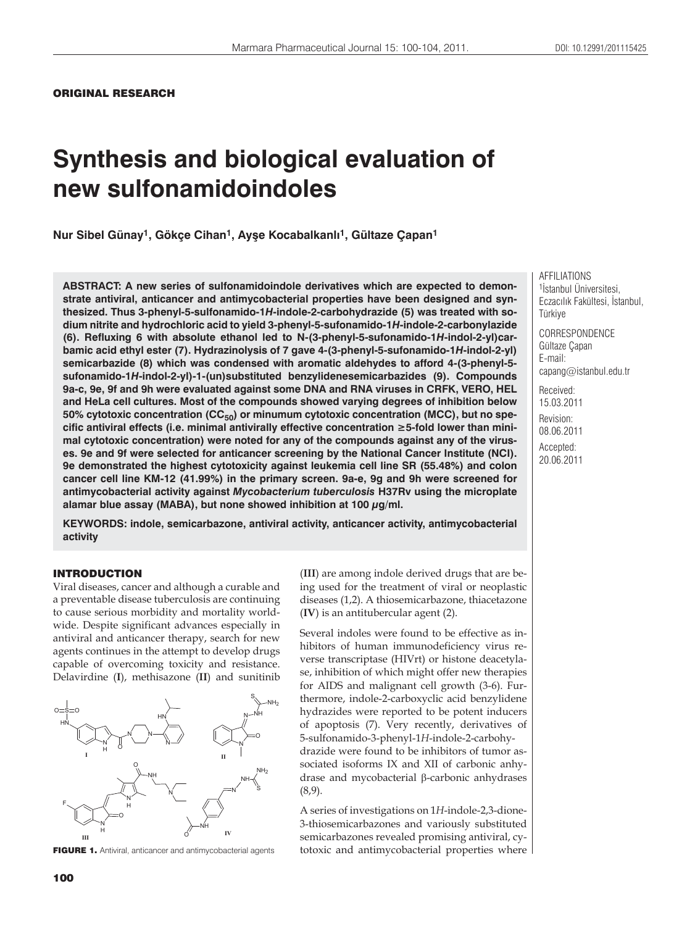# **Synthesis and biological evaluation of new sulfonamidoindoles**

**Nur Sibel Günay1, Gökçe Cihan1, Ayüe Kocabalkanl×1, Gültaze Çapan1**

**ABSTRACT: A new series of sulfonamidoindole derivatives which are expected to demonstrate antiviral, anticancer and antimycobacterial properties have been designed and synthesized. Thus 3-phenyl-5-sulfonamido-1***H***-indole-2-carbohydrazide (5) was treated with sodium nitrite and hydrochloric acid to yield 3-phenyl-5-sufonamido-1***H***-indole-2-carbonylazide (6). Refluxing 6 with absolute ethanol led to N-(3-phenyl-5-sufonamido-1***H***-indol-2-yl)carbamic acid ethyl ester (7). Hydrazinolysis of 7 gave 4-(3-phenyl-5-sufonamido-1***H***-indol-2-yl) semicarbazide (8) which was condensed with aromatic aldehydes to afford 4-(3-phenyl-5 sufonamido-1***H***-indol-2-yl)-1-(un)substituted benzylidenesemicarbazides (9). Compounds 9a-c, 9e, 9f and 9h were evaluated against some DNA and RNA viruses in CRFK, VERO, HEL and HeLa cell cultures. Most of the compounds showed varying degrees of inhibition below**  50% cytotoxic concentration (CC<sub>50</sub>) or minumum cytotoxic concentration (MCC), but no spe**cific antiviral effects (i.e. minimal antivirally effective concentration 5-fold lower than minimal cytotoxic concentration) were noted for any of the compounds against any of the viruses. 9e and 9f were selected for anticancer screening by the National Cancer Institute (NCI). 9e demonstrated the highest cytotoxicity against leukemia cell line SR (55.48%) and colon cancer cell line KM-12 (41.99%) in the primary screen. 9a-e, 9g and 9h were screened for antimycobacterial activity against** *Mycobacterium tuberculosis* **H37Rv using the microplate alamar blue assay (MABA), but none showed inhibition at 100 g/ml.**

**KEYWORDS: indole, semicarbazone, antiviral activity, anticancer activity, antimycobacterial activity**

#### INTRODUCTION

Viral diseases, cancer and although a curable and a preventable disease tuberculosis are continuing to cause serious morbidity and mortality worldwide. Despite significant advances especially in antiviral and anticancer therapy, search for new agents continues in the attempt to develop drugs capable of overcoming toxicity and resistance. Delavirdine (**I**), methisazone (**II**) and sunitinib



FIGURE 1. Antiviral, anticancer and antimycobacterial agents

(**III**) are among indole derived drugs that are being used for the treatment of viral or neoplastic diseases (1,2). A thiosemicarbazone, thiacetazone (**IV**) is an antitubercular agent (2).

Several indoles were found to be effective as inhibitors of human immunodeficiency virus reverse transcriptase (HIVrt) or histone deacetylase, inhibition of which might offer new therapies for AIDS and malignant cell growth (3-6). Furthermore, indole-2-carboxyclic acid benzylidene hydrazides were reported to be potent inducers of apoptosis (7). Very recently, derivatives of 5-sulfonamido-3-phenyl-1*H*-indole-2-carbohydrazide were found to be inhibitors of tumor associated isoforms IX and XII of carbonic anhydrase and mycobacterial β-carbonic anhydrases (8,9).

A series of investigations on 1*H*-indole-2,3-dione-3-thiosemicarbazones and variously substituted semicarbazones revealed promising antiviral, cytotoxic and antimycobacterial properties where AFFILIATIONS 1 İstanbul Üniversitesi, Eczacılık Fakültesi, İstanbul, Türkiye

**CORRESPONDENCE** Gültaze Çapan E-mail: capang@istanbul.edu.tr

Received: 15.03.2011 Revision: 08.06.2011 Accepted: 20.06.2011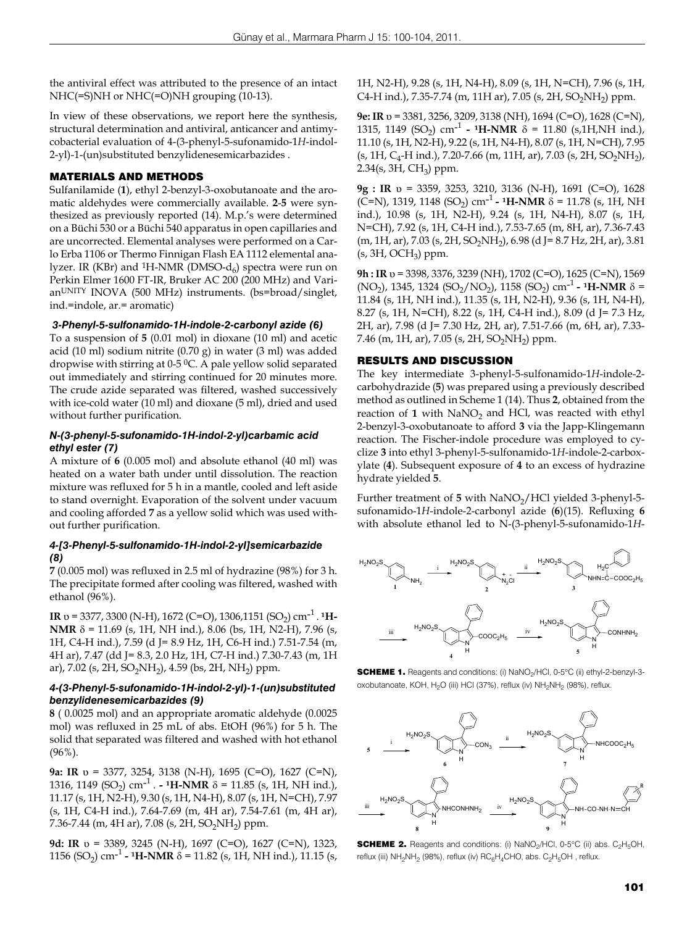the antiviral effect was attributed to the presence of an intact NHC(=S)NH or NHC(=O)NH grouping (10-13).

In view of these observations, we report here the synthesis, structural determination and antiviral, anticancer and antimycobacterial evaluation of 4-(3-phenyl-5-sufonamido-1*H*-indol-2-yl)-1-(un)substituted benzylidenesemicarbazides .

## MATERIALS AND METHODS

Sulfanilamide (**1**), ethyl 2-benzyl-3-oxobutanoate and the aromatic aldehydes were commercially available. **2**-**5** were synthesized as previously reported (14). M.p.'s were determined on a Büchi 530 or a Büchi 540 apparatus in open capillaries and are uncorrected. Elemental analyses were performed on a Carlo Erba 1106 or Thermo Finnigan Flash EA 1112 elemental analyzer. IR (KBr) and <sup>1</sup>H-NMR (DMSO- $d_6$ ) spectra were run on Perkin Elmer 1600 FT-IR, Bruker AC 200 (200 MHz) and VarianUNITY INOVA (500 MHz) instruments. (bs=broad/singlet, ind.=indole, ar.= aromatic)

## *3-Phenyl-5-sulfonamido-1H-indole-2-carbonyl azide (6)*

To a suspension of **5** (0.01 mol) in dioxane (10 ml) and acetic acid (10 ml) sodium nitrite (0.70 g) in water (3 ml) was added dropwise with stirring at 0-5 0C. A pale yellow solid separated out immediately and stirring continued for 20 minutes more. The crude azide separated was filtered, washed successively with ice-cold water (10 ml) and dioxane (5 ml), dried and used without further purification.

## *N-(3-phenyl-5-sufonamido-1H-indol-2-yl)carbamic acid ethyl ester (7)*

A mixture of **6** (0.005 mol) and absolute ethanol (40 ml) was heated on a water bath under until dissolution. The reaction mixture was refluxed for 5 h in a mantle, cooled and left aside to stand overnight. Evaporation of the solvent under vacuum and cooling afforded **7** as a yellow solid which was used without further purification.

## *4-[3-Phenyl-5-sulfonamido-1H-indol-2-yl]semicarbazide (8)*

**7** (0.005 mol) was refluxed in 2.5 ml of hydrazine (98%) for 3 h. The precipitate formed after cooling was filtered, washed with ethanol (96%).

**IR**  $v = 3377, 3300$  (N-H), 1672 (C=O), 1306, 1151 (SO<sub>2</sub>) cm<sup>-1</sup>. <sup>1</sup>H-**NMR** δ = 11.69 (s, 1H, NH ind.), 8.06 (bs, 1H, N2-H), 7.96 (s, 1H, C4-H ind.), 7.59 (d J= 8.9 Hz, 1H, C6-H ind.) 7.51-7.54 (m, 4H ar), 7.47 (dd J= 8.3, 2.0 Hz, 1H, C7-H ind.) 7.30-7.43 (m, 1H ar), 7.02 (s, 2H, SO<sub>2</sub>NH<sub>2</sub>), 4.59 (bs, 2H, NH<sub>2</sub>) ppm.

#### *4-(3-Phenyl-5-sufonamido-1H-indol-2-yl)-1-(un)substituted benzylidenesemicarbazides (9)*

**8** ( 0.0025 mol) and an appropriate aromatic aldehyde (0.0025 mol) was refluxed in 25 mL of abs. EtOH (96%) for 5 h. The solid that separated was filtered and washed with hot ethanol (96%).

**9a: IR** υ = 3377, 3254, 3138 (N-H), 1695 (C=O), 1627 (C=N), 1316, 1149 (SO<sub>2</sub>) cm<sup>-1</sup> . **-** <sup>1</sup>**H-NMR**  $\delta$  = 11.85 (s, 1H, NH ind.), 11.17 (s, 1H, N2-H), 9.30 (s, 1H, N4-H), 8.07 (s, 1H, N=CH), 7.97 (s, 1H, C4-H ind.), 7.64-7.69 (m, 4H ar), 7.54-7.61 (m, 4H ar), 7.36-7.44 (m, 4H ar), 7.08 (s, 2H, SO<sub>2</sub>NH<sub>2</sub>) ppm.

**9d: IR** υ = 3389, 3245 (N-H), 1697 (C=O), 1627 (C=N), 1323, 1156 (SO<sub>2</sub>) cm<sup>-1</sup> - <sup>1</sup>H-NMR  $\delta$  = 11.82 (s, 1H, NH ind.), 11.15 (s, 1H, N2-H), 9.28 (s, 1H, N4-H), 8.09 (s, 1H, N=CH), 7.96 (s, 1H, C4-H ind.), 7.35-7.74 (m, 11H ar), 7.05 (s, 2H, SO<sub>2</sub>NH<sub>2</sub>) ppm.

**9e: IR** υ = 3381, 3256, 3209, 3138 (NH), 1694 (C=O), 1628 (C=N), 1315, 1149 (SO<sub>2</sub>) cm<sup>-1</sup> - <sup>1</sup>H-NMR  $\delta$  = 11.80 (s,1H,NH ind.), 11.10 (s, 1H, N2-H), 9.22 (s, 1H, N4-H), 8.07 (s, 1H, N=CH), 7.95  $(s, 1H, C_4-H \text{ ind.})$ , 7.20-7.66 (m, 11H, ar), 7.03 (s, 2H, SO<sub>2</sub>NH<sub>2</sub>), 2.34(s, 3H,  $CH<sub>3</sub>$ ) ppm.

**9g : IR** υ = 3359, 3253, 3210, 3136 (N-H), 1691 (C=O), 1628  $(C=N)$ , 1319, 1148 (SO<sub>2</sub>) cm<sup>-1</sup> - <sup>1</sup>H-NMR  $\delta$  = 11.78 (s, 1H, NH ind.), 10.98 (s, 1H, N2-H), 9.24 (s, 1H, N4-H), 8.07 (s, 1H, N=CH), 7.92 (s, 1H, C4-H ind.), 7.53-7.65 (m, 8H, ar), 7.36-7.43  $(m, 1H, ar)$ , 7.03 (s, 2H, SO<sub>2</sub>NH<sub>2</sub>), 6.98 (d J = 8.7 Hz, 2H, ar), 3.81  $(s, 3H, OCH<sub>3</sub>)$  ppm.

**9h : IR** υ = 3398, 3376, 3239 (NH), 1702 (C=O), 1625 (C=N), 1569 (NO<sub>2</sub>), 1345, 1324 (SO<sub>2</sub>/NO<sub>2</sub>), 1158 (SO<sub>2</sub>) cm<sup>-1</sup> - <sup>1</sup>H-NMR  $\delta$  = 11.84 (s, 1H, NH ind.), 11.35 (s, 1H, N2-H), 9.36 (s, 1H, N4-H), 8.27 (s, 1H, N=CH), 8.22 (s, 1H, C4-H ind.), 8.09 (d J= 7.3 Hz, 2H, ar), 7.98 (d J= 7.30 Hz, 2H, ar), 7.51-7.66 (m, 6H, ar), 7.33- 7.46 (m, 1H, ar), 7.05 (s, 2H, SO<sub>2</sub>NH<sub>2</sub>) ppm.

#### RESULTS AND DISCUSSION

The key intermediate 3-phenyl-5-sulfonamido-1*H*-indole-2 carbohydrazide (**5**) was prepared using a previously described method as outlined in Scheme 1 (14). Thus **2**, obtained from the reaction of 1 with NaNO<sub>2</sub> and HCl, was reacted with ethyl 2-benzyl-3-oxobutanoate to afford **3** via the Japp-Klingemann reaction. The Fischer-indole procedure was employed to cyclize **3** into ethyl 3-phenyl-5-sulfonamido-1*H*-indole-2-carboxylate (**4**). Subsequent exposure of **4** to an excess of hydrazine hydrate yielded **5**.

Further treatment of 5 with NaNO<sub>2</sub>/HCl yielded 3-phenyl-5sufonamido-1*H*-indole-2-carbonyl azide (**6**)(15). Refluxing **6**  with absolute ethanol led to N-(3-phenyl-5-sufonamido-1*H*-



**SCHEME 1.** Reagents and conditions: (i) NaNO<sub>2</sub>/HCl, 0-5°C (ii) ethyl-2-benzyl-3oxobutanoate, KOH, H<sub>2</sub>O (iii) HCl (37%), reflux (iv) NH<sub>2</sub>NH<sub>2</sub> (98%), reflux.



**SCHEME 2.** Reagents and conditions: (i) NaNO<sub>2</sub>/HCl, 0-5°C (ii) abs. C<sub>2</sub>H<sub>5</sub>OH, reflux (iii) NH<sub>2</sub>NH<sub>2</sub> (98%), reflux (iv) RC<sub>6</sub>H<sub>4</sub>CHO, abs. C<sub>2</sub>H<sub>5</sub>OH, reflux.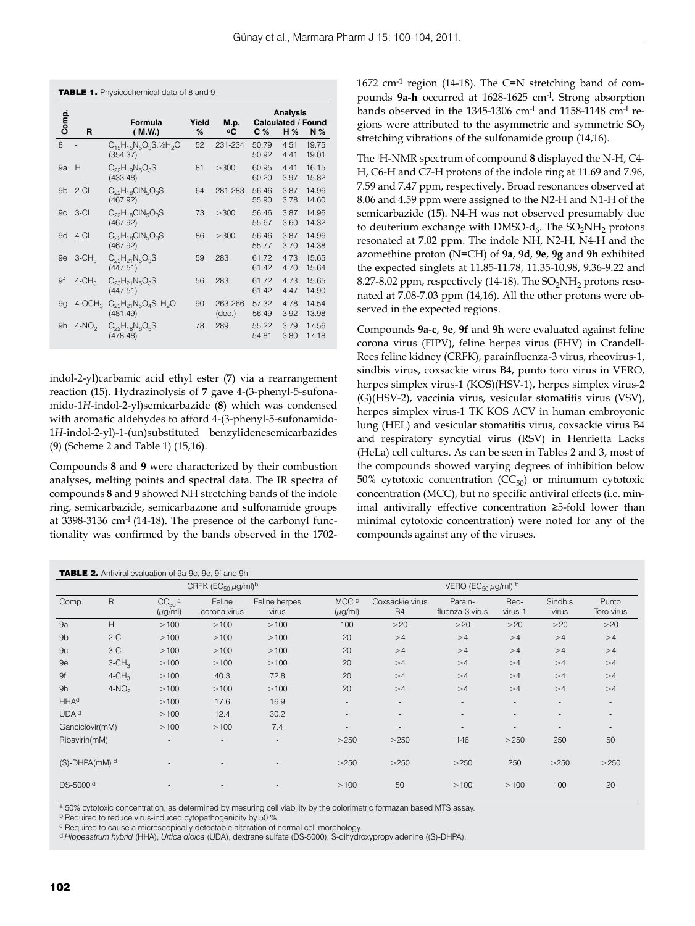|                |                       | <b>Analysis</b>                                        |            |                   |                |              |                                              |
|----------------|-----------------------|--------------------------------------------------------|------------|-------------------|----------------|--------------|----------------------------------------------|
| Comp.          | R                     | Formula<br>(M.W.)                                      | Yield<br>% | M.p.<br>۰c        | C%             | H%           | <b>Calculated / Found</b><br>N <sub>26</sub> |
| 8              |                       | $C_{15}H_{15}N_5O_3S.$ 1/2H <sub>2</sub> O<br>(354.37) | 52         | 231-234           | 50.79<br>50.92 | 4.51<br>4.41 | 19.75<br>19.01                               |
| 9a             | Н                     | $C_{22}H_{10}N_5O_3S$<br>(433.48)                      | 81         | >300              | 60.95<br>60.20 | 4.41<br>3.97 | 16.15<br>15.82                               |
| 9 <sub>b</sub> | $2-CI$                | $C_{22}H_{18}CIN_5O_3S$<br>(467.92)                    | 64         | 281-283           | 56.46<br>55.90 | 3.87<br>3.78 | 14.96<br>14.60                               |
| 9 <sub>c</sub> | $3-CI$                | $C_{22}H_{18}CIN_5O_3S$<br>(467.92)                    | 73         | >300              | 56.46<br>55.67 | 3.87<br>3.60 | 14.96<br>14.32                               |
| 9d             | $4-CI$                | $C_{22}H_{18}CIN_5O_3S$<br>(467.92)                    | 86         | >300              | 56.46<br>55.77 | 3.87<br>3.70 | 14.96<br>14.38                               |
| 9e             | $3$ -CH <sub>3</sub>  | $C_{23}H_{21}N_5O_3S$<br>(447.51)                      | 59         | 283               | 61.72<br>61.42 | 4.73<br>4.70 | 15.65<br>15.64                               |
| 9f             | $4$ -CH <sub>3</sub>  | $C_{23}H_{21}N_5O_3S$<br>(447.51)                      | 56         | 283               | 61.72<br>61.42 | 4.73<br>4.47 | 15.65<br>14.90                               |
| 9q             | $4$ -OCH <sub>3</sub> | $C_{23}H_{21}N_5O_4S$ . H <sub>2</sub> O<br>(481.49)   | 90         | 263-266<br>(dec.) | 57.32<br>56.49 | 4.78<br>3.92 | 14.54<br>13.98                               |
| 9h             | $4-NO2$               | $C_{22}H_{18}N_6O_5S$<br>(478.48)                      | 78         | 289               | 55.22<br>54.81 | 3.79<br>3.80 | 17.56<br>17.18                               |
|                |                       |                                                        |            |                   |                |              |                                              |

**TABLE 1.** Physicochemical data of 8 and 9

indol-2-yl)carbamic acid ethyl ester (**7**) via a rearrangement reaction (15). Hydrazinolysis of **7** gave 4-(3-phenyl-5-sufonamido-1*H*-indol-2-yl)semicarbazide (**8**) which was condensed with aromatic aldehydes to afford 4-(3-phenyl-5-sufonamido-1*H*-indol-2-yl)-1-(un)substituted benzylidenesemicarbazides (**9**) (Scheme 2 and Table 1) (15,16).

Compounds **8** and **9** were characterized by their combustion analyses, melting points and spectral data. The IR spectra of compounds **8** and **9** showed NH stretching bands of the indole ring, semicarbazide, semicarbazone and sulfonamide groups at 3398-3136 cm-l (14-18). The presence of the carbonyl functionality was confirmed by the bands observed in the 1702-

# 1672 cm-1 region (14-18). The C=N stretching band of compounds **9a-h** occurred at 1628-1625 cm-l. Strong absorption bands observed in the 1345-1306 cm-l and 1158-1148 cm-l regions were attributed to the asymmetric and symmetric  $SO<sub>2</sub>$ stretching vibrations of the sulfonamide group (14,16).

The l H-NMR spectrum of compound **8** displayed the N-H, C4- H, C6-H and C7-H protons of the indole ring at 11.69 and 7.96, 7.59 and 7.47 ppm, respectively. Broad resonances observed at 8.06 and 4.59 ppm were assigned to the N2-H and N1-H of the semicarbazide (15). N4-H was not observed presumably due to deuterium exchange with DMSO- $d_6$ . The SO<sub>2</sub>NH<sub>2</sub> protons resonated at 7.02 ppm. The indole NH, N2-H, N4-H and the azomethine proton (N=CH) of **9a**, **9d**, **9e**, **9g** and **9h** exhibited the expected singlets at 11.85-11.78, 11.35-10.98, 9.36-9.22 and 8.27-8.02 ppm, respectively (14-18). The  $SO_2NH_2$  protons resonated at 7.08-7.03 ppm (14,16). All the other protons were observed in the expected regions.

Compounds **9a**-**c**, **9e**, **9f** and **9h** were evaluated against feline corona virus (FIPV), feline herpes virus (FHV) in Crandell-Rees feline kidney (CRFK), parainfluenza-3 virus, rheovirus-1, sindbis virus, coxsackie virus B4, punto toro virus in VERO, herpes simplex virus-1 (KOS)(HSV-1), herpes simplex virus-2 (G)(HSV-2), vaccinia virus, vesicular stomatitis virus (VSV), herpes simplex virus-1 TK KOS ACV in human embroyonic lung (HEL) and vesicular stomatitis virus, coxsackie virus B4 and respiratory syncytial virus (RSV) in Henrietta Lacks (HeLa) cell cultures. As can be seen in Tables 2 and 3, most of the compounds showed varying degrees of inhibition below 50% cytotoxic concentration  $(CC_{50})$  or minumum cytotoxic concentration (MCC), but no specific antiviral effects (i.e. minimal antivirally effective concentration ≥5-fold lower than minimal cytotoxic concentration) were noted for any of the compounds against any of the viruses.

|                                 | TABLE 2. Antiviral evaluation of 9a-9c, 9e, 9f and 9h |                                          |                          |                          |                          |                              |                            |                          |                          |                          |  |  |
|---------------------------------|-------------------------------------------------------|------------------------------------------|--------------------------|--------------------------|--------------------------|------------------------------|----------------------------|--------------------------|--------------------------|--------------------------|--|--|
|                                 |                                                       | CRFK ( $EC_{50} \mu g$ /ml) <sup>b</sup> |                          |                          |                          | VERO (EC $_{50}$ µg/ml) b    |                            |                          |                          |                          |  |  |
| Comp.                           | $\mathsf{R}$                                          | $CC50$ a<br>$(\mu g/ml)$                 | Feline<br>corona virus   | Feline herpes<br>virus   | MCC c<br>$(\mu g/ml)$    | Coxsackie virus<br><b>B4</b> | Parain-<br>fluenza-3 virus | Reo-<br>virus-1          | <b>Sindbis</b><br>virus  | Punto<br>Toro virus      |  |  |
| 9a                              | H                                                     | >100                                     | >100                     | >100                     | 100                      | >20                          | >20                        | >20                      | >20                      | >20                      |  |  |
| 9 <sub>b</sub>                  | $2-CI$                                                | >100                                     | >100                     | >100                     | 20                       | >4                           | >4                         | >4                       | >4                       | >4                       |  |  |
| 9 <sub>c</sub>                  | $3-CI$                                                | >100                                     | >100                     | >100                     | 20                       | >4                           | >4                         | >4                       | >4                       | >4                       |  |  |
| 9e                              | $3$ -CH <sub>3</sub>                                  | >100                                     | >100                     | >100                     | 20                       | >4                           | >4                         | >4                       | >4                       | >4                       |  |  |
| 9f                              | $4$ -CH <sub>3</sub>                                  | >100                                     | 40.3                     | 72.8                     | 20                       | >4                           | >4                         | >4                       | >4                       | >4                       |  |  |
| 9h                              | $4-NO2$                                               | >100                                     | >100                     | >100                     | 20                       | >4                           | >4                         | >4                       | >4                       | >4                       |  |  |
| <b>HHAd</b>                     |                                                       | >100                                     | 17.6                     | 16.9                     | $\overline{\phantom{a}}$ | $\overline{\phantom{a}}$     | $\sim$                     | $\overline{\phantom{a}}$ | $\overline{\phantom{a}}$ | $\sim$                   |  |  |
| UDA <sup>d</sup>                |                                                       | >100                                     | 12.4                     | 30.2                     | $\overline{\phantom{a}}$ | $\overline{\phantom{a}}$     | $\sim$                     | $\overline{\phantom{a}}$ | ٠                        | $\overline{\phantom{a}}$ |  |  |
| Ganciclovir(mM)                 |                                                       | >100                                     | >100                     | 7.4                      | $\overline{\phantom{a}}$ | $\overline{\phantom{a}}$     | $\overline{\phantom{a}}$   | $\overline{a}$           | $\overline{\phantom{a}}$ | $\overline{\phantom{a}}$ |  |  |
| Ribavirin(mM)                   |                                                       |                                          | $\overline{\phantom{a}}$ | $\overline{\phantom{a}}$ | >250                     | >250                         | 146                        | >250                     | 250                      | 50                       |  |  |
| $(S)$ -DHPA $(mM)$ <sup>d</sup> |                                                       |                                          |                          |                          | >250                     | >250                         | >250                       | 250                      | >250                     | >250                     |  |  |
| DS-5000 <sup>d</sup>            |                                                       |                                          |                          |                          | >100                     | 50                           | >100                       | >100                     | 100                      | 20                       |  |  |

a 50% cytotoxic concentration, as determined by mesuring cell viability by the colorimetric formazan based MTS assay.

b Required to reduce virus-induced cytopathogenicity by 50 %

c Required to cause a microscopically detectable alteration of normal cell morphology.

d *Hippeastrum hybrid* (HHA), *Urtica dioica* (UDA), dextrane sulfate (DS-5000), S-dihydroxypropyladenine ((S)-DHPA).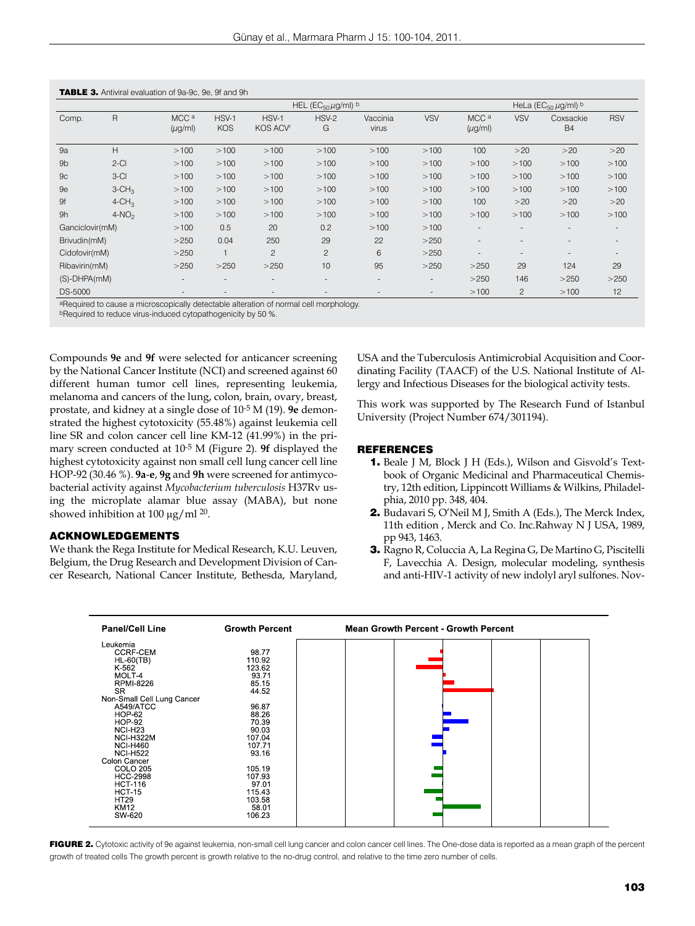|                 |                      | HEL (EC <sub>50</sub> $\mu$ g/ml) <sup>b</sup> |                     |                          |                          |                   |                          | HeLa ( $EC_{50} \mu g$ /ml) b    |                          |                          |            |
|-----------------|----------------------|------------------------------------------------|---------------------|--------------------------|--------------------------|-------------------|--------------------------|----------------------------------|--------------------------|--------------------------|------------|
| Comp.           | R                    | MCC <sup>a</sup><br>$(\mu g/ml)$               | HSV-1<br><b>KOS</b> | HSV-1<br><b>KOS ACVr</b> | HSV-2<br>G               | Vaccinia<br>virus | <b>VSV</b>               | MCC <sup>a</sup><br>$(\mu g/ml)$ | <b>VSV</b>               | Coxsackie<br><b>B4</b>   | <b>RSV</b> |
| 9a              | H                    | >100                                           | >100                | >100                     | >100                     | >100              | >100                     | 100                              | >20                      | >20                      | >20        |
| 9 <sub>b</sub>  | $2-CI$               | >100                                           | >100                | >100                     | >100                     | >100              | >100                     | >100                             | >100                     | >100                     | >100       |
| 9 <sub>C</sub>  | $3-CI$               | >100                                           | >100                | >100                     | >100                     | >100              | >100                     | >100                             | >100                     | >100                     | >100       |
| 9e              | $3$ -CH <sub>3</sub> | >100                                           | >100                | >100                     | >100                     | >100              | >100                     | >100                             | >100                     | >100                     | >100       |
| 9f              | $4$ -CH <sub>3</sub> | >100                                           | >100                | >100                     | >100                     | >100              | >100                     | 100                              | >20                      | >20                      | >20        |
| 9h              | $4-NO2$              | >100                                           | >100                | >100                     | >100                     | >100              | >100                     | >100                             | >100                     | >100                     | >100       |
| Ganciclovir(mM) |                      | >100                                           | 0.5                 | 20                       | 0.2                      | >100              | >100                     | $\overline{\phantom{a}}$         | $\overline{\phantom{a}}$ | $\overline{\phantom{a}}$ | $\sim$     |
| Brivudin(mM)    |                      | >250                                           | 0.04                | 250                      | 29                       | 22                | >250                     | $\sim$                           | $\overline{\phantom{a}}$ | $\overline{\phantom{a}}$ |            |
| Cidofovir(mM)   |                      | >250                                           |                     | $\overline{c}$           | $\overline{c}$           | 6                 | >250                     | $\overline{\phantom{a}}$         | $\overline{\phantom{a}}$ | $\overline{\phantom{a}}$ |            |
| Ribavirin(mM)   |                      | >250                                           | >250                | >250                     | 10                       | 95                | >250                     | >250                             | 29                       | 124                      | 29         |
| (S)-DHPA(mM)    |                      | $\sim$                                         | $\sim$              | $\overline{\phantom{a}}$ | $\overline{\phantom{a}}$ |                   | $\sim$                   | >250                             | 146                      | >250                     | >250       |
| <b>DS-5000</b>  |                      | $\sim$                                         | ۰                   |                          | $\overline{\phantom{a}}$ |                   | $\overline{\phantom{a}}$ | >100                             | $\mathbf{2}$             | >100                     | 12         |

 $\blacksquare$ 

aRequired to cause a microscopically detectable alteration of normal cell morphology.

bRequired to reduce virus-induced cytopathogenicity by 50 %.

Compounds **9e** and **9f** were selected for anticancer screening by the National Cancer Institute (NCI) and screened against 60 different human tumor cell lines, representing leukemia, melanoma and cancers of the lung, colon, brain, ovary, breast, prostate, and kidney at a single dose of 10-5 M (19). **9e** demonstrated the highest cytotoxicity (55.48%) against leukemia cell line SR and colon cancer cell line KM-12 (41.99%) in the primary screen conducted at 10-5 M (Figure 2). **9f** displayed the highest cytotoxicity against non small cell lung cancer cell line HOP-92 (30.46 %). **9a**-**e**, **9g** and **9h** were screened for antimycobacterial activity against *Mycobacterium tuberculosis* H37Rv using the microplate alamar blue assay (MABA), but none showed inhibition at 100  $\mu$ g/ml <sup>20</sup>.

#### ACKNOWLEDGEMENTS

We thank the Rega Institute for Medical Research, K.U. Leuven, Belgium, the Drug Research and Development Division of Cancer Research, National Cancer Institute, Bethesda, Maryland,

USA and the Tuberculosis Antimicrobial Acquisition and Coordinating Facility (TAACF) of the U.S. National Institute of Allergy and Infectious Diseases for the biological activity tests.

This work was supported by The Research Fund of Istanbul University (Project Number 674/301194).

#### REFERENCES

- 1. Beale J M, Block J H (Eds.), Wilson and Gisvold's Textbook of Organic Medicinal and Pharmaceutical Chemistry, 12th edition, Lippincott Williams & Wilkins, Philadelphia, 2010 pp. 348, 404.
- 2. Budavari S, O'Neil M J, Smith A (Eds.), The Merck Index, 11th edition , Merck and Co. Inc.Rahway N J USA, 1989, pp 943, 1463.
- 3. Ragno R, Coluccia A, La Regina G, De Martino G, Piscitelli F, Lavecchia A. Design, molecular modeling, synthesis and anti-HIV-1 activity of new indolyl aryl sulfones. Nov-



FIGURE 2. Cytotoxic activity of 9e against leukemia, non-small cell lung cancer and colon cancer cell lines. The One-dose data is reported as a mean graph of the percent growth of treated cells The growth percent is growth relative to the no-drug control, and relative to the time zero number of cells.